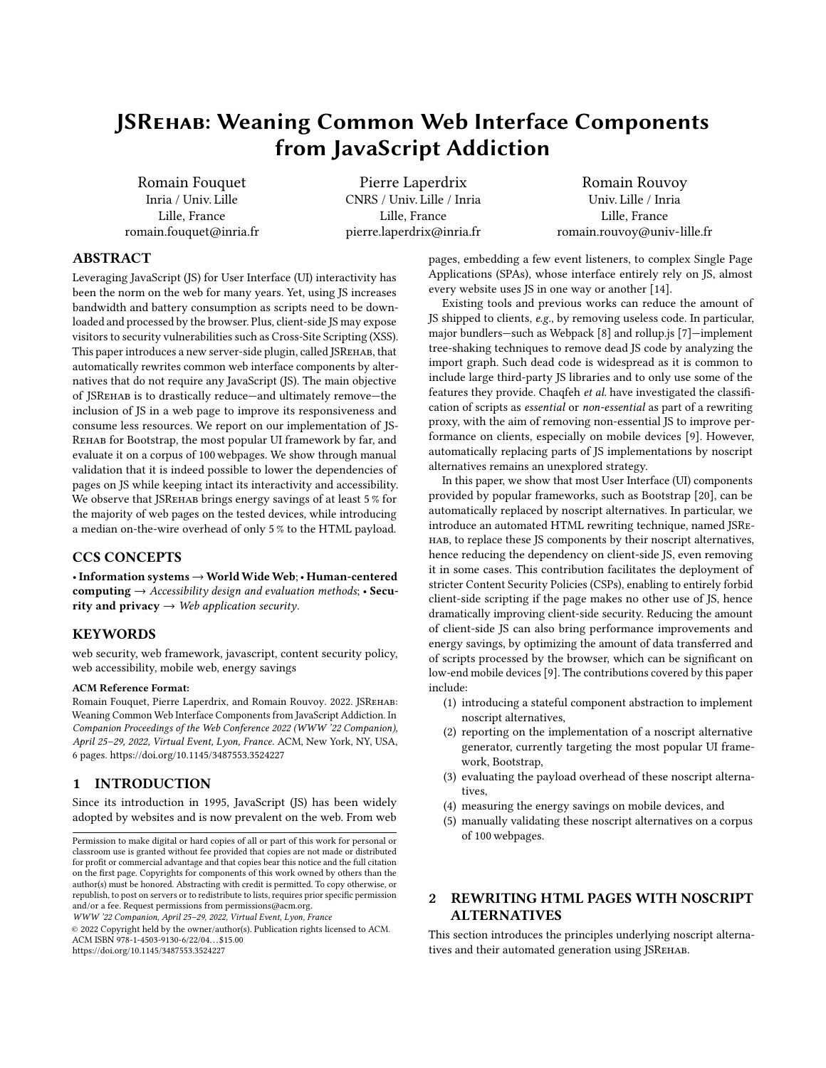# JSRehab: Weaning Common Web Interface Components from JavaScript Addiction

[Romain Fouquet](https://orcid.org/0000-0003-0369-7459) Inria / Univ. Lille Lille, France romain.fouquet@inria.fr

[Pierre Laperdrix](https://orcid.org/0000-0001-6901-3596) CNRS / Univ. Lille / Inria Lille, France pierre.laperdrix@inria.fr

[Romain Rouvoy](https://orcid.org/0000-0003-1771-8791) Univ. Lille / Inria Lille, France romain.rouvoy@univ-lille.fr

## ABSTRACT

Leveraging JavaScript (JS) for User Interface (UI) interactivity has been the norm on the web for many years. Yet, using JS increases bandwidth and battery consumption as scripts need to be downloaded and processed by the browser. Plus, client-side JS may expose visitors to security vulnerabilities such as Cross-Site Scripting (XSS). This paper introduces a new server-side plugin, called JSREHAB, that automatically rewrites common web interface components by alternatives that do not require any JavaScript (JS). The main objective of JSRehab is to drastically reduce—and ultimately remove—the inclusion of JS in a web page to improve its responsiveness and consume less resources. We report on our implementation of JS-Rehab for Bootstrap, the most popular UI framework by far, and evaluate it on a corpus of 100 webpages. We show through manual validation that it is indeed possible to lower the dependencies of pages on JS while keeping intact its interactivity and accessibility. We observe that JSREHAB brings energy savings of at least 5 % for the majority of web pages on the tested devices, while introducing a median on-the-wire overhead of only 5 % to the HTML payload.

## CCS CONCEPTS

•Information systems→WorldWideWeb;• Human-centered computing  $\rightarrow$  Accessibility design and evaluation methods; • Security and privacy  $\rightarrow$  Web application security.

#### KEYWORDS

web security, web framework, javascript, content security policy, web accessibility, mobile web, energy savings

#### ACM Reference Format:

Romain Fouquet, Pierre Laperdrix, and Romain Rouvoy. 2022. JSRehab: Weaning Common Web Interface Components from JavaScript Addiction. In Companion Proceedings of the Web Conference 2022 (WWW '22 Companion), April 25–29, 2022, Virtual Event, Lyon, France. ACM, New York, NY, USA, [6](#page-5-0) pages.<https://doi.org/10.1145/3487553.3524227>

## 1 INTRODUCTION

Since its introduction in 1995, JavaScript (JS) has been widely adopted by websites and is now prevalent on the web. From web

WWW '22 Companion, April 25–29, 2022, Virtual Event, Lyon, France

© 2022 Copyright held by the owner/author(s). Publication rights licensed to ACM. ACM ISBN 978-1-4503-9130-6/22/04. . . \$15.00 <https://doi.org/10.1145/3487553.3524227>

pages, embedding a few event listeners, to complex Single Page Applications (SPAs), whose interface entirely rely on JS, almost every website uses JS in one way or another [\[14\]](#page-5-1).

Existing tools and previous works can reduce the amount of JS shipped to clients, e.g., by removing useless code. In particular, major bundlers—such as Webpack [\[8\]](#page-5-2) and rollup.js [\[7\]](#page-5-3)—implement tree-shaking techniques to remove dead JS code by analyzing the import graph. Such dead code is widespread as it is common to include large third-party JS libraries and to only use some of the features they provide. Chaqfeh et al. have investigated the classification of scripts as essential or non-essential as part of a rewriting proxy, with the aim of removing non-essential JS to improve performance on clients, especially on mobile devices [\[9\]](#page-5-4). However, automatically replacing parts of JS implementations by noscript alternatives remains an unexplored strategy.

In this paper, we show that most User Interface (UI) components provided by popular frameworks, such as Bootstrap [\[20\]](#page-5-5), can be automatically replaced by noscript alternatives. In particular, we introduce an automated HTML rewriting technique, named JSRehab, to replace these JS components by their noscript alternatives, hence reducing the dependency on client-side JS, even removing it in some cases. This contribution facilitates the deployment of stricter Content Security Policies (CSPs), enabling to entirely forbid client-side scripting if the page makes no other use of JS, hence dramatically improving client-side security. Reducing the amount of client-side JS can also bring performance improvements and energy savings, by optimizing the amount of data transferred and of scripts processed by the browser, which can be significant on low-end mobile devices [\[9\]](#page-5-4). The contributions covered by this paper include:

- (1) introducing a stateful component abstraction to implement noscript alternatives,
- (2) reporting on the implementation of a noscript alternative generator, currently targeting the most popular UI framework, Bootstrap,
- (3) evaluating the payload overhead of these noscript alternatives,
- (4) measuring the energy savings on mobile devices, and
- (5) manually validating these noscript alternatives on a corpus of 100 webpages.

## 2 REWRITING HTML PAGES WITH NOSCRIPT ALTERNATIVES

This section introduces the principles underlying noscript alternatives and their automated generation using JSREHAB.

Permission to make digital or hard copies of all or part of this work for personal or classroom use is granted without fee provided that copies are not made or distributed for profit or commercial advantage and that copies bear this notice and the full citation on the first page. Copyrights for components of this work owned by others than the author(s) must be honored. Abstracting with credit is permitted. To copy otherwise, or republish, to post on servers or to redistribute to lists, requires prior specific permission and/or a fee. Request permissions from permissions@acm.org.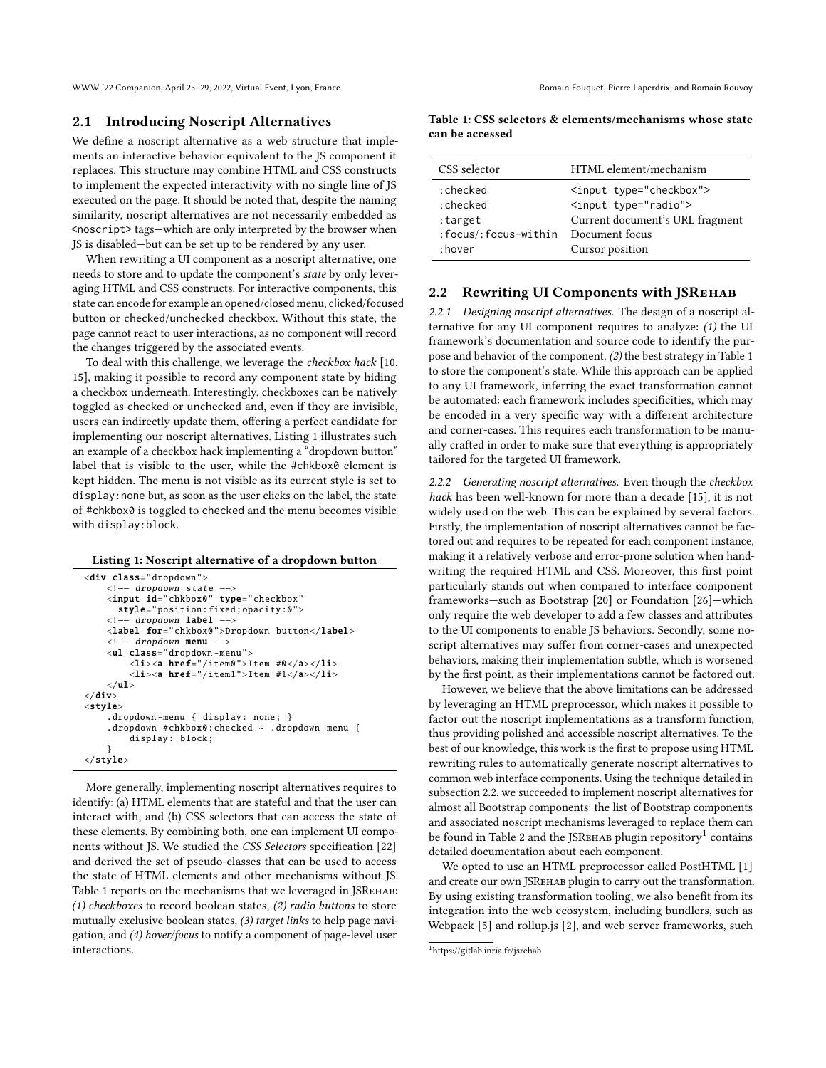WWW '22 Companion, April 25–29, 2022, Virtual Event, Lyon, France Roman Fouquet, Pierre Laperdrix, and Romain Rouvoy

#### 2.1 Introducing Noscript Alternatives

We define a noscript alternative as a web structure that implements an interactive behavior equivalent to the JS component it replaces. This structure may combine HTML and CSS constructs to implement the expected interactivity with no single line of JS executed on the page. It should be noted that, despite the naming similarity, noscript alternatives are not necessarily embedded as <noscript> tags—which are only interpreted by the browser when JS is disabled—but can be set up to be rendered by any user.

When rewriting a UI component as a noscript alternative, one needs to store and to update the component's state by only leveraging HTML and CSS constructs. For interactive components, this state can encode for example an opened/closed menu, clicked/focused button or checked/unchecked checkbox. Without this state, the page cannot react to user interactions, as no component will record the changes triggered by the associated events.

To deal with this challenge, we leverage the checkbox hack [\[10,](#page-5-6) [15\]](#page-5-7), making it possible to record any component state by hiding a checkbox underneath. Interestingly, checkboxes can be natively toggled as checked or unchecked and, even if they are invisible, users can indirectly update them, offering a perfect candidate for implementing our noscript alternatives. [Listing 1](#page-1-0) illustrates such an example of a checkbox hack implementing a "dropdown button" label that is visible to the user, while the #chkbox0 element is kept hidden. The menu is not visible as its current style is set to display:none but, as soon as the user clicks on the label, the state of #chkbox0 is toggled to checked and the menu becomes visible with display:block.

#### <span id="page-1-0"></span>Listing 1: Noscript alternative of a dropdown button

```
<div class="dropdown">
     <!−− dropdown state −−>
    <input id="chkbox0" type="checkbox"
      style="position:fixed;opacity :0">
    <!−− dropdown label −−>
    <label for="chkbox0">Dropdown button </label>
    <!−− dropdown menu −−>
    <ul class="dropdown −menu">
         <li><a href="/item0">Item #0</a></li>
         \langleli>\langlea href="/item1">Item #1</a>\langle/li>
    \langle \text{u1} \rangle\langle/div>
<style>
    .dropdown −menu { display: none; }
     .dropdown #chkbox0:checked ~ .dropdown −menu {
         display: block;
    }
\langle/style\rangle
```
More generally, implementing noscript alternatives requires to identify: (a) HTML elements that are stateful and that the user can interact with, and (b) CSS selectors that can access the state of these elements. By combining both, one can implement UI components without JS. We studied the CSS Selectors specification [\[22\]](#page-5-8) and derived the set of pseudo-classes that can be used to access the state of HTML elements and other mechanisms without JS. [Table 1](#page-1-1) reports on the mechanisms that we leveraged in JSREHAB: (1) checkboxes to record boolean states, (2) radio buttons to store mutually exclusive boolean states, (3) target links to help page navigation, and (4) hover/focus to notify a component of page-level user interactions.

<span id="page-1-1"></span>Table 1: CSS selectors & elements/mechanisms whose state can be accessed

| CSS selector           | HTML element/mechanism                            |
|------------------------|---------------------------------------------------|
| : checked<br>: checked | <input type="checkbox"/><br><input type="radio"/> |
| :target                | Current document's URL fragment                   |
| :focus/:focus-within   | Document focus                                    |
| :hover                 | Cursor position                                   |

#### <span id="page-1-2"></span>2.2 Rewriting UI Components with JSREHAB

2.2.1 Designing noscript alternatives. The design of a noscript alternative for any UI component requires to analyze: (1) the UI framework's documentation and source code to identify the purpose and behavior of the component, (2) the best strategy in [Table 1](#page-1-1) to store the component's state. While this approach can be applied to any UI framework, inferring the exact transformation cannot be automated: each framework includes specificities, which may be encoded in a very specific way with a different architecture and corner-cases. This requires each transformation to be manually crafted in order to make sure that everything is appropriately tailored for the targeted UI framework.

2.2.2 Generating noscript alternatives. Even though the checkbox hack has been well-known for more than a decade [\[15\]](#page-5-7), it is not widely used on the web. This can be explained by several factors. Firstly, the implementation of noscript alternatives cannot be factored out and requires to be repeated for each component instance, making it a relatively verbose and error-prone solution when handwriting the required HTML and CSS. Moreover, this first point particularly stands out when compared to interface component frameworks—such as Bootstrap [\[20\]](#page-5-5) or Foundation [\[26\]](#page-5-9)—which only require the web developer to add a few classes and attributes to the UI components to enable JS behaviors. Secondly, some noscript alternatives may suffer from corner-cases and unexpected behaviors, making their implementation subtle, which is worsened by the first point, as their implementations cannot be factored out.

However, we believe that the above limitations can be addressed by leveraging an HTML preprocessor, which makes it possible to factor out the noscript implementations as a transform function, thus providing polished and accessible noscript alternatives. To the best of our knowledge, this work is the first to propose using HTML rewriting rules to automatically generate noscript alternatives to common web interface components. Using the technique detailed in [subsection 2.2,](#page-1-2) we succeeded to implement noscript alternatives for almost all Bootstrap components: the list of Bootstrap components and associated noscript mechanisms leveraged to replace them can be found in [Table 2](#page-2-0) and the JSR $\rm _{E}$ нав plugin repository $^{1}$  $^{1}$  $^{1}$  contains detailed documentation about each component.

We opted to use an HTML preprocessor called PostHTML [\[1\]](#page-5-10) and create our own JSRehab plugin to carry out the transformation. By using existing transformation tooling, we also benefit from its integration into the web ecosystem, including bundlers, such as Webpack [\[5\]](#page-5-11) and rollup.js [\[2\]](#page-5-12), and web server frameworks, such

<span id="page-1-3"></span><sup>1</sup><https://gitlab.inria.fr/jsrehab>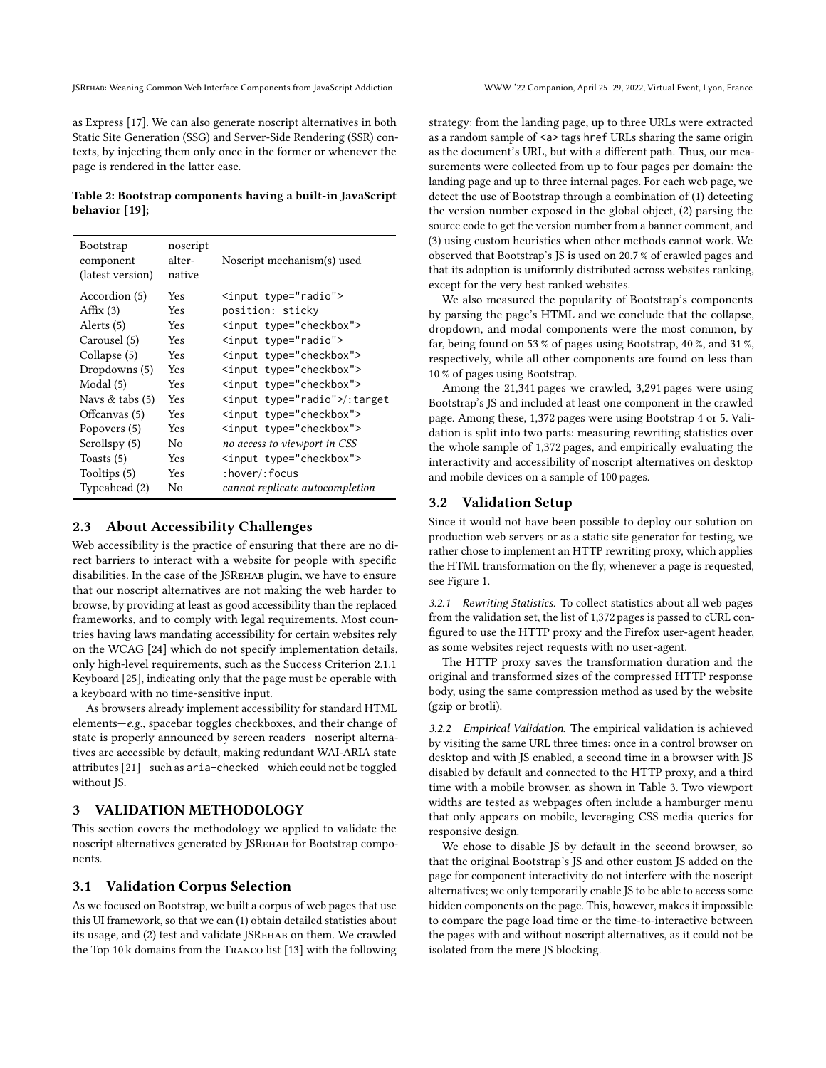as Express [\[17\]](#page-5-13). We can also generate noscript alternatives in both Static Site Generation (SSG) and Server-Side Rendering (SSR) contexts, by injecting them only once in the former or whenever the page is rendered in the latter case.

<span id="page-2-0"></span>Table 2: Bootstrap components having a built-in JavaScript behavior [\[19\]](#page-5-14);

| Bootstrap<br>component<br>(latest version) | noscript<br>alter-<br>native | Noscript mechanism(s) used      |
|--------------------------------------------|------------------------------|---------------------------------|
| Accordion (5)                              | <b>Yes</b>                   | <input type="radio"/>           |
| Affix $(3)$                                | Yes                          | position: sticky                |
| Alerts (5)                                 | <b>Yes</b>                   | <input type="checkbox"/>        |
| Carousel (5)                               | Yes                          | <input type="radio"/>           |
| Collapse (5)                               | <b>Yes</b>                   | <input type="checkbox"/>        |
| Dropdowns (5)                              | <b>Yes</b>                   | <input type="checkbox"/>        |
| Modal (5)                                  | <b>Yes</b>                   | <input type="checkbox"/>        |
| Navs $&$ tabs $(5)$                        | <b>Yes</b>                   | <input type="radio"/> /:target  |
| Offcanvas (5)                              | <b>Yes</b>                   | <input type="checkbox"/>        |
| Popovers (5)                               | <b>Yes</b>                   | <input type="checkbox"/>        |
| Scrollspy (5)                              | No                           | no access to viewport in CSS    |
| Toasts $(5)$                               | <b>Yes</b>                   | <input type="checkbox"/>        |
| Tooltips (5)                               | <b>Yes</b>                   | $:$ hover $/$ : focus           |
| Typeahead (2)                              | No                           | cannot replicate autocompletion |

## 2.3 About Accessibility Challenges

Web accessibility is the practice of ensuring that there are no direct barriers to interact with a website for people with specific disabilities. In the case of the JSREНАВ plugin, we have to ensure that our noscript alternatives are not making the web harder to browse, by providing at least as good accessibility than the replaced frameworks, and to comply with legal requirements. Most countries having laws mandating accessibility for certain websites rely on the WCAG [\[24\]](#page-5-15) which do not specify implementation details, only high-level requirements, such as the Success Criterion 2.1.1 Keyboard [\[25\]](#page-5-16), indicating only that the page must be operable with a keyboard with no time-sensitive input.

As browsers already implement accessibility for standard HTML elements—e.g., spacebar toggles checkboxes, and their change of state is properly announced by screen readers—noscript alternatives are accessible by default, making redundant WAI-ARIA state attributes [\[21\]](#page-5-17)—such as aria-checked—which could not be toggled without IS.

## 3 VALIDATION METHODOLOGY

This section covers the methodology we applied to validate the noscript alternatives generated by JSREHAB for Bootstrap components.

#### 3.1 Validation Corpus Selection

As we focused on Bootstrap, we built a corpus of web pages that use this UI framework, so that we can (1) obtain detailed statistics about its usage, and (2) test and validate JSRehab on them. We crawled the Top 10 k domains from the Tranco list [\[13\]](#page-5-18) with the following strategy: from the landing page, up to three URLs were extracted as a random sample of <a> tags href URLs sharing the same origin as the document's URL, but with a different path. Thus, our measurements were collected from up to four pages per domain: the landing page and up to three internal pages. For each web page, we detect the use of Bootstrap through a combination of (1) detecting the version number exposed in the global object, (2) parsing the source code to get the version number from a banner comment, and (3) using custom heuristics when other methods cannot work. We observed that Bootstrap's JS is used on 20.7 % of crawled pages and that its adoption is uniformly distributed across websites ranking, except for the very best ranked websites.

We also measured the popularity of Bootstrap's components by parsing the page's HTML and we conclude that the collapse, dropdown, and modal components were the most common, by far, being found on 53 % of pages using Bootstrap, 40 %, and 31 %, respectively, while all other components are found on less than 10 % of pages using Bootstrap.

Among the 21,341 pages we crawled, 3,291 pages were using Bootstrap's JS and included at least one component in the crawled page. Among these, 1,372 pages were using Bootstrap 4 or 5. Validation is split into two parts: measuring rewriting statistics over the whole sample of 1,372 pages, and empirically evaluating the interactivity and accessibility of noscript alternatives on desktop and mobile devices on a sample of 100 pages.

#### 3.2 Validation Setup

Since it would not have been possible to deploy our solution on production web servers or as a static site generator for testing, we rather chose to implement an HTTP rewriting proxy, which applies the HTML transformation on the fly, whenever a page is requested, see [Figure 1.](#page-3-0)

3.2.1 Rewriting Statistics. To collect statistics about all web pages from the validation set, the list of 1,372 pages is passed to cURL configured to use the HTTP proxy and the Firefox user-agent header, as some websites reject requests with no user-agent.

The HTTP proxy saves the transformation duration and the original and transformed sizes of the compressed HTTP response body, using the same compression method as used by the website (gzip or brotli).

3.2.2 Empirical Validation. The empirical validation is achieved by visiting the same URL three times: once in a control browser on desktop and with JS enabled, a second time in a browser with JS disabled by default and connected to the HTTP proxy, and a third time with a mobile browser, as shown in [Table 3.](#page-3-1) Two viewport widths are tested as webpages often include a hamburger menu that only appears on mobile, leveraging CSS media queries for responsive design.

We chose to disable JS by default in the second browser, so that the original Bootstrap's JS and other custom JS added on the page for component interactivity do not interfere with the noscript alternatives; we only temporarily enable JS to be able to access some hidden components on the page. This, however, makes it impossible to compare the page load time or the time-to-interactive between the pages with and without noscript alternatives, as it could not be isolated from the mere JS blocking.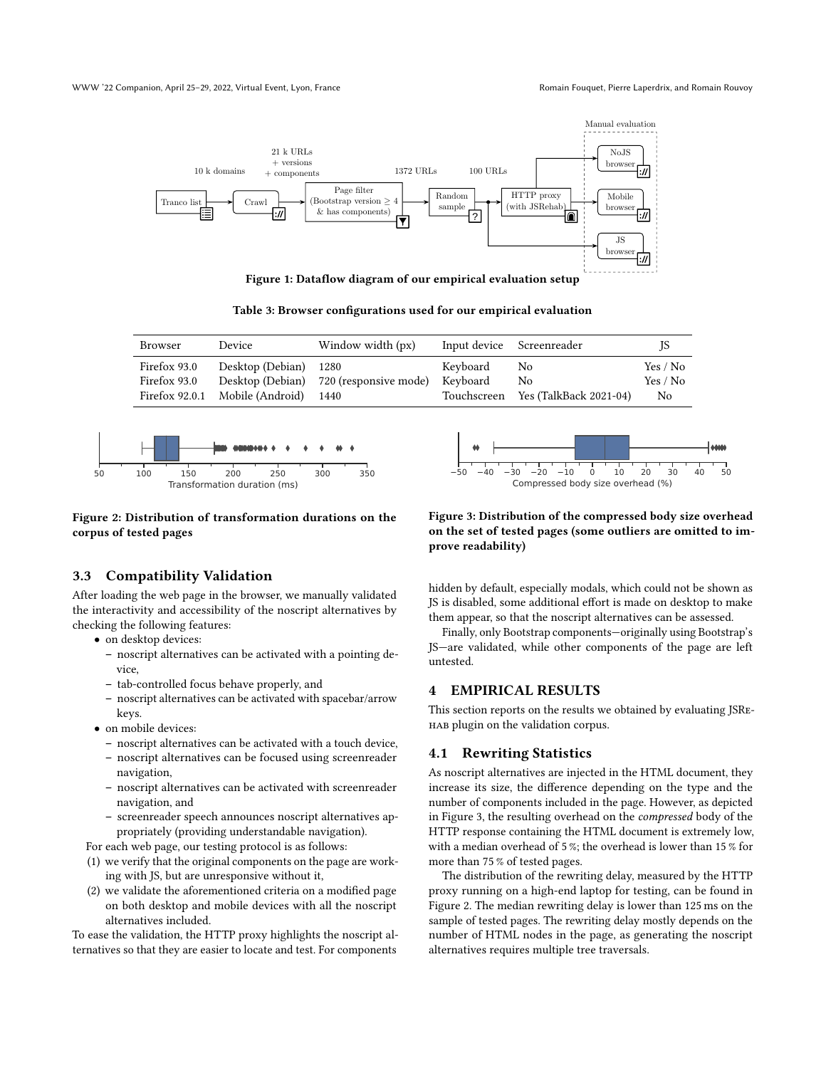<span id="page-3-0"></span>

Figure 1: Dataflow diagram of our empirical evaluation setup

Table 3: Browser configurations used for our empirical evaluation

<span id="page-3-1"></span>

| Browser                      | Device                          | Window width (px)                      |                      | Input device Screenreader          | 15                   |
|------------------------------|---------------------------------|----------------------------------------|----------------------|------------------------------------|----------------------|
| Firefox 93.0<br>Firefox 93.0 | Desktop (Debian) 1280           | Desktop (Debian) 720 (responsive mode) | Keyboard<br>Keyboard | No<br>No                           | Yes / No<br>Yes / No |
|                              | Firefox 92.0.1 Mobile (Android) | 1440                                   |                      | Touchscreen Yes (TalkBack 2021-04) | N <sub>0</sub>       |

<span id="page-3-3"></span>

#### Figure 2: Distribution of transformation durations on the corpus of tested pages

## 3.3 Compatibility Validation

After loading the web page in the browser, we manually validated the interactivity and accessibility of the noscript alternatives by checking the following features:

- on desktop devices:
	- noscript alternatives can be activated with a pointing device,
	- tab-controlled focus behave properly, and
	- noscript alternatives can be activated with spacebar/arrow keys.
- on mobile devices:
	- noscript alternatives can be activated with a touch device,
	- noscript alternatives can be focused using screenreader navigation,
	- noscript alternatives can be activated with screenreader navigation, and
	- screenreader speech announces noscript alternatives appropriately (providing understandable navigation).

For each web page, our testing protocol is as follows:

- (1) we verify that the original components on the page are working with JS, but are unresponsive without it,
- (2) we validate the aforementioned criteria on a modified page on both desktop and mobile devices with all the noscript alternatives included.

To ease the validation, the HTTP proxy highlights the noscript alternatives so that they are easier to locate and test. For components

<span id="page-3-2"></span>

## Figure 3: Distribution of the compressed body size overhead on the set of tested pages (some outliers are omitted to improve readability)

hidden by default, especially modals, which could not be shown as JS is disabled, some additional effort is made on desktop to make them appear, so that the noscript alternatives can be assessed.

Finally, only Bootstrap components—originally using Bootstrap's JS—are validated, while other components of the page are left untested.

## 4 EMPIRICAL RESULTS

This section reports on the results we obtained by evaluating JSRehab plugin on the validation corpus.

## 4.1 Rewriting Statistics

As noscript alternatives are injected in the HTML document, they increase its size, the difference depending on the type and the number of components included in the page. However, as depicted in [Figure 3,](#page-3-2) the resulting overhead on the compressed body of the HTTP response containing the HTML document is extremely low, with a median overhead of 5 %; the overhead is lower than 15 % for more than 75 % of tested pages.

The distribution of the rewriting delay, measured by the HTTP proxy running on a high-end laptop for testing, can be found in [Figure 2.](#page-3-3) The median rewriting delay is lower than 125 ms on the sample of tested pages. The rewriting delay mostly depends on the number of HTML nodes in the page, as generating the noscript alternatives requires multiple tree traversals.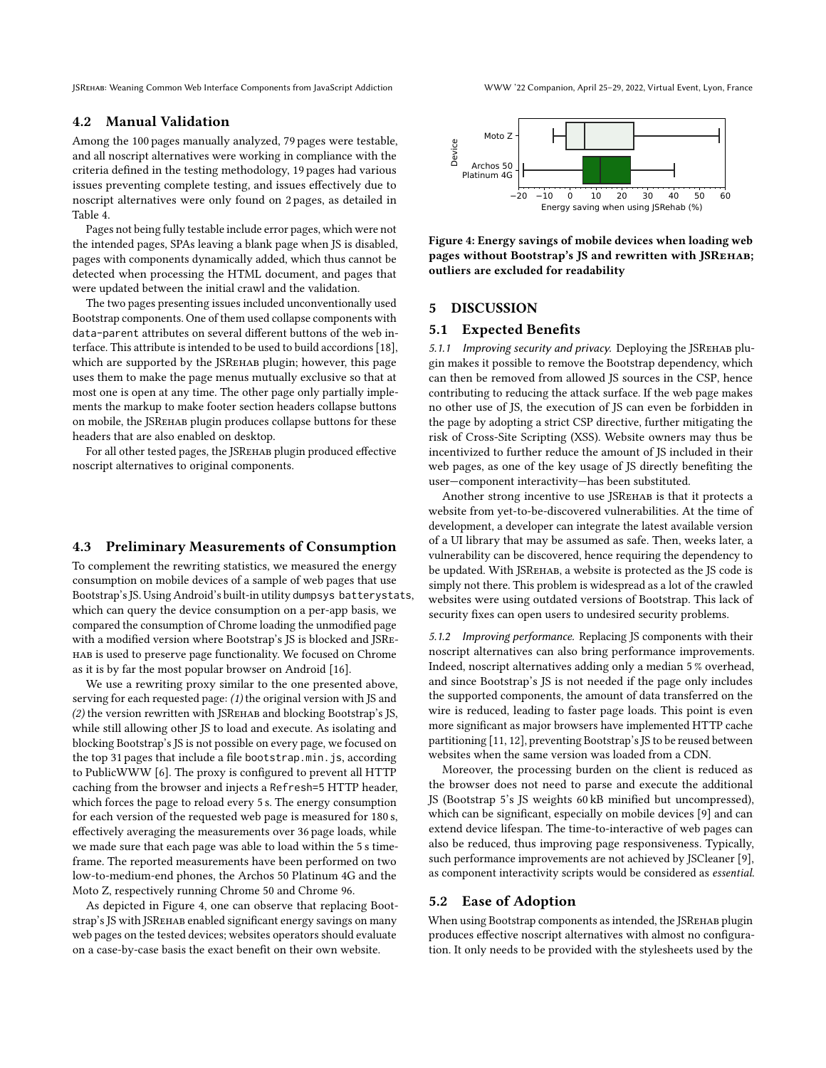JSRehab: Weaning Common Web Interface Components from JavaScript Addiction WWW '22 Companion, April 25–29, 2022, Virtual Event, Lyon, France

## 4.2 Manual Validation

Among the 100 pages manually analyzed, 79 pages were testable, and all noscript alternatives were working in compliance with the criteria defined in the testing methodology, 19 pages had various issues preventing complete testing, and issues effectively due to noscript alternatives were only found on 2 pages, as detailed in [Table 4.](#page-5-19)

Pages not being fully testable include error pages, which were not the intended pages, SPAs leaving a blank page when JS is disabled, pages with components dynamically added, which thus cannot be detected when processing the HTML document, and pages that were updated between the initial crawl and the validation.

The two pages presenting issues included unconventionally used Bootstrap components. One of them used collapse components with data-parent attributes on several different buttons of the web interface. This attribute is intended to be used to build accordions [\[18\]](#page-5-20), which are supported by the JSREHAB plugin; however, this page uses them to make the page menus mutually exclusive so that at most one is open at any time. The other page only partially implements the markup to make footer section headers collapse buttons on mobile, the JSRehab plugin produces collapse buttons for these headers that are also enabled on desktop.

For all other tested pages, the JSRehab plugin produced effective noscript alternatives to original components.

## 4.3 Preliminary Measurements of Consumption

To complement the rewriting statistics, we measured the energy consumption on mobile devices of a sample of web pages that use Bootstrap's JS. Using Android's built-in utility dumpsys batterystats, which can query the device consumption on a per-app basis, we compared the consumption of Chrome loading the unmodified page with a modified version where Bootstrap's JS is blocked and JSRehab is used to preserve page functionality. We focused on Chrome as it is by far the most popular browser on Android [\[16\]](#page-5-21).

We use a rewriting proxy similar to the one presented above, serving for each requested page: (1) the original version with JS and (2) the version rewritten with JSRehab and blocking Bootstrap's JS, while still allowing other JS to load and execute. As isolating and blocking Bootstrap's JS is not possible on every page, we focused on the top 31 pages that include a file bootstrap.min.js, according to PublicWWW [\[6\]](#page-5-22). The proxy is configured to prevent all HTTP caching from the browser and injects a Refresh=5 HTTP header, which forces the page to reload every 5 s. The energy consumption for each version of the requested web page is measured for 180 s, effectively averaging the measurements over 36 page loads, while we made sure that each page was able to load within the 5 s timeframe. The reported measurements have been performed on two low-to-medium-end phones, the Archos 50 Platinum 4G and the Moto Z, respectively running Chrome 50 and Chrome 96.

As depicted in [Figure 4,](#page-4-0) one can observe that replacing Bootstrap's JS with JSRehab enabled significant energy savings on many web pages on the tested devices; websites operators should evaluate on a case-by-case basis the exact benefit on their own website.

<span id="page-4-0"></span>

Figure 4: Energy savings of mobile devices when loading web pages without Bootstrap's JS and rewritten with JSREHAB; outliers are excluded for readability

#### 5 DISCUSSION

#### 5.1 Expected Benefits

5.1.1 Improving security and privacy. Deploying the JSREHAB plugin makes it possible to remove the Bootstrap dependency, which can then be removed from allowed JS sources in the CSP, hence contributing to reducing the attack surface. If the web page makes no other use of JS, the execution of JS can even be forbidden in the page by adopting a strict CSP directive, further mitigating the risk of Cross-Site Scripting (XSS). Website owners may thus be incentivized to further reduce the amount of JS included in their web pages, as one of the key usage of JS directly benefiting the user—component interactivity—has been substituted.

Another strong incentive to use JSREHAB is that it protects a website from yet-to-be-discovered vulnerabilities. At the time of development, a developer can integrate the latest available version of a UI library that may be assumed as safe. Then, weeks later, a vulnerability can be discovered, hence requiring the dependency to be updated. With JSREHAB, а website is protected as the JS code is simply not there. This problem is widespread as a lot of the crawled websites were using outdated versions of Bootstrap. This lack of security fixes can open users to undesired security problems.

5.1.2 Improving performance. Replacing JS components with their noscript alternatives can also bring performance improvements. Indeed, noscript alternatives adding only a median 5 % overhead, and since Bootstrap's JS is not needed if the page only includes the supported components, the amount of data transferred on the wire is reduced, leading to faster page loads. This point is even more significant as major browsers have implemented HTTP cache partitioning [\[11,](#page-5-23) [12\]](#page-5-24), preventing Bootstrap's JS to be reused between websites when the same version was loaded from a CDN.

Moreover, the processing burden on the client is reduced as the browser does not need to parse and execute the additional JS (Bootstrap 5's JS weights 60 kB minified but uncompressed), which can be significant, especially on mobile devices [\[9\]](#page-5-4) and can extend device lifespan. The time-to-interactive of web pages can also be reduced, thus improving page responsiveness. Typically, such performance improvements are not achieved by JSCleaner [\[9\]](#page-5-4), as component interactivity scripts would be considered as essential.

#### 5.2 Ease of Adoption

When using Bootstrap components as intended, the JSREHAB plugin produces effective noscript alternatives with almost no configuration. It only needs to be provided with the stylesheets used by the